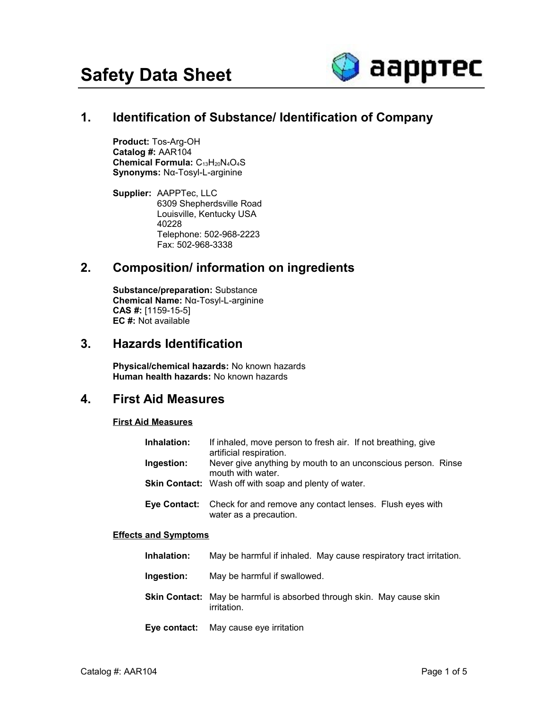

# **1. Identification of Substance/ Identification of Company**

**Product:** Tos-Arg-OH **Catalog #:** AAR104 Chemical Formula: C<sub>13</sub>H<sub>20</sub>N<sub>4</sub>O<sub>4</sub>S **Synonyms:** Nα-Tosyl-L-arginine

**Supplier:** AAPPTec, LLC 6309 Shepherdsville Road Louisville, Kentucky USA 40228 Telephone: 502-968-2223 Fax: 502-968-3338

# **2. Composition/ information on ingredients**

**Substance/preparation:** Substance **Chemical Name:** Nα-Tosyl-L-arginine **CAS #:** [1159-15-5] **EC #:** Not available

#### **3. Hazards Identification**

**Physical/chemical hazards:** No known hazards **Human health hazards:** No known hazards

## **4. First Aid Measures**

#### **First Aid Measures**

| Inhalation: | If inhaled, move person to fresh air. If not breathing, give<br>artificial respiration.                |
|-------------|--------------------------------------------------------------------------------------------------------|
| Ingestion:  | Never give anything by mouth to an unconscious person. Rinse<br>mouth with water.                      |
|             | <b>Skin Contact:</b> Wash off with soap and plenty of water.                                           |
|             | <b>Eye Contact:</b> Check for and remove any contact lenses. Flush eyes with<br>water as a precaution. |

#### **Effects and Symptoms**

- **Ingestion:** May be harmful if swallowed.
- **Skin Contact:** May be harmful is absorbed through skin. May cause skin irritation.
- **Eye contact:** May cause eye irritation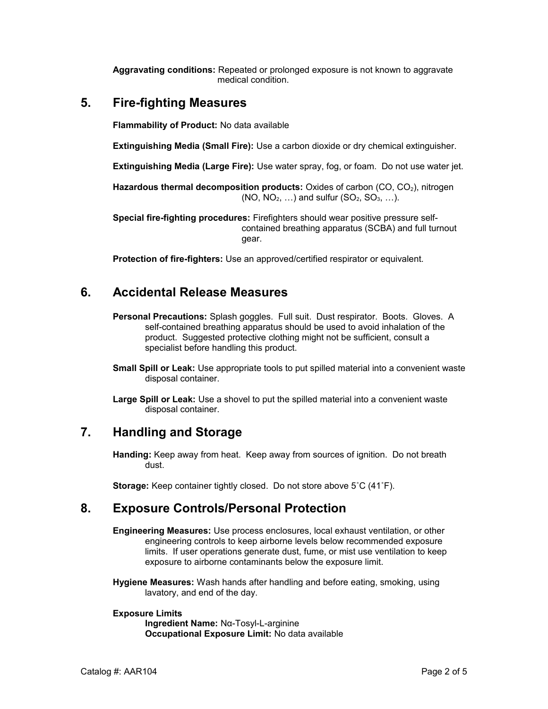**Aggravating conditions:** Repeated or prolonged exposure is not known to aggravate medical condition.

## **5. Fire-fighting Measures**

**Flammability of Product:** No data available

**Extinguishing Media (Small Fire):** Use a carbon dioxide or dry chemical extinguisher.

**Extinguishing Media (Large Fire):** Use water spray, fog, or foam. Do not use water jet.

Hazardous thermal decomposition products: Oxides of carbon (CO, CO<sub>2</sub>), nitrogen  $(NO, NO<sub>2</sub>, ...)$  and sulfur  $(SO<sub>2</sub>, SO<sub>3</sub>, ...)$ .

**Special fire-fighting procedures:** Firefighters should wear positive pressure selfcontained breathing apparatus (SCBA) and full turnout gear.

**Protection of fire-fighters:** Use an approved/certified respirator or equivalent.

# **6. Accidental Release Measures**

- **Personal Precautions:** Splash goggles. Full suit. Dust respirator. Boots. Gloves. A self-contained breathing apparatus should be used to avoid inhalation of the product. Suggested protective clothing might not be sufficient, consult a specialist before handling this product.
- **Small Spill or Leak:** Use appropriate tools to put spilled material into a convenient waste disposal container.

**Large Spill or Leak:** Use a shovel to put the spilled material into a convenient waste disposal container.

## **7. Handling and Storage**

**Handing:** Keep away from heat. Keep away from sources of ignition. Do not breath dust.

**Storage:** Keep container tightly closed. Do not store above 5˚C (41˚F).

# **8. Exposure Controls/Personal Protection**

**Engineering Measures:** Use process enclosures, local exhaust ventilation, or other engineering controls to keep airborne levels below recommended exposure limits. If user operations generate dust, fume, or mist use ventilation to keep exposure to airborne contaminants below the exposure limit.

**Hygiene Measures:** Wash hands after handling and before eating, smoking, using lavatory, and end of the day.

#### **Exposure Limits**

**Ingredient Name:** Nα-Tosyl-L-arginine **Occupational Exposure Limit:** No data available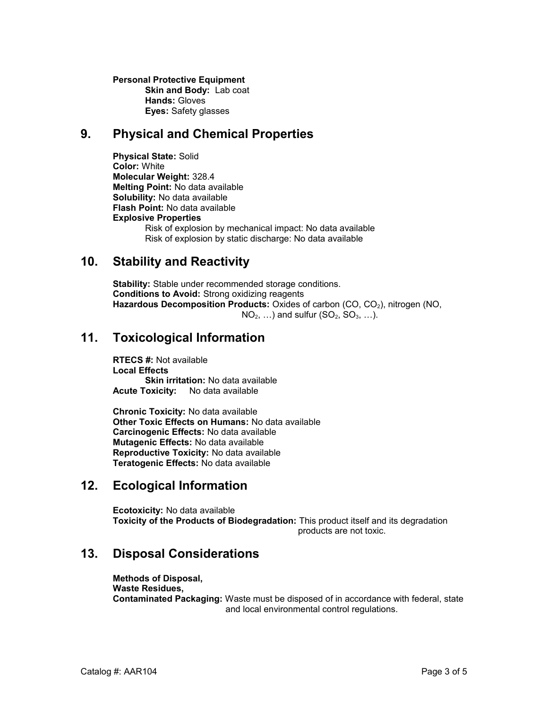**Personal Protective Equipment Skin and Body: Lab coat Hands:** Gloves **Eyes:** Safety glasses

#### **9. Physical and Chemical Properties**

**Physical State:** Solid **Color:** White **Molecular Weight:** 328.4 **Melting Point:** No data available **Solubility:** No data available **Flash Point:** No data available **Explosive Properties** Risk of explosion by mechanical impact: No data available Risk of explosion by static discharge: No data available

#### **10. Stability and Reactivity**

**Stability:** Stable under recommended storage conditions. **Conditions to Avoid:** Strong oxidizing reagents Hazardous Decomposition Products: Oxides of carbon (CO, CO<sub>2</sub>), nitrogen (NO,  $NO<sub>2</sub>, \ldots$ ) and sulfur  $(SO<sub>2</sub>, SO<sub>3</sub>, \ldots)$ .

## **11. Toxicological Information**

**RTECS #:** Not available **Local Effects Skin irritation:** No data available **Acute Toxicity:** No data available

**Chronic Toxicity:** No data available **Other Toxic Effects on Humans:** No data available **Carcinogenic Effects:** No data available **Mutagenic Effects:** No data available **Reproductive Toxicity:** No data available **Teratogenic Effects:** No data available

## **12. Ecological Information**

**Ecotoxicity:** No data available **Toxicity of the Products of Biodegradation:** This product itself and its degradation products are not toxic.

## **13. Disposal Considerations**

**Methods of Disposal, Waste Residues, Contaminated Packaging:** Waste must be disposed of in accordance with federal, state and local environmental control regulations.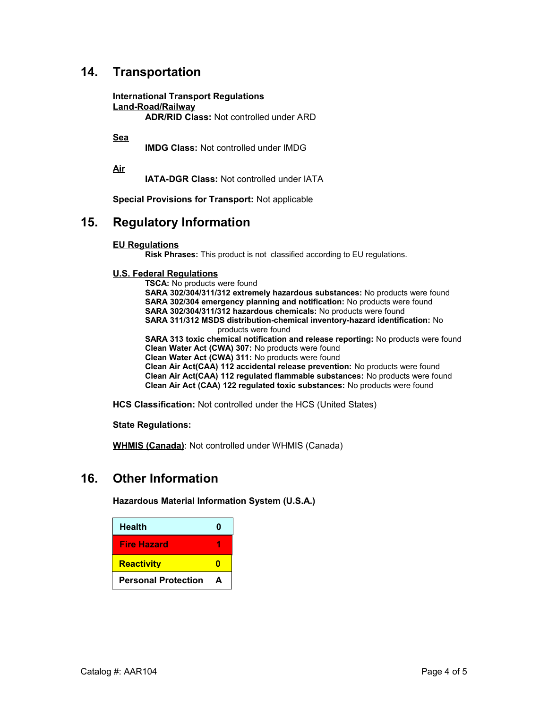# **14. Transportation**

**International Transport Regulations Land-Road/Railway ADR/RID Class:** Not controlled under ARD

**Sea**

**IMDG Class:** Not controlled under IMDG

**Air**

**IATA-DGR Class:** Not controlled under IATA

**Special Provisions for Transport:** Not applicable

#### **15. Regulatory Information**

#### **EU Regulations**

**Risk Phrases:** This product is not classified according to EU regulations.

#### **U.S. Federal Regulations**

**TSCA:** No products were found **SARA 302/304/311/312 extremely hazardous substances:** No products were found **SARA 302/304 emergency planning and notification:** No products were found **SARA 302/304/311/312 hazardous chemicals:** No products were found **SARA 311/312 MSDS distribution-chemical inventory-hazard identification:** No products were found **SARA 313 toxic chemical notification and release reporting:** No products were found **Clean Water Act (CWA) 307:** No products were found **Clean Water Act (CWA) 311:** No products were found **Clean Air Act(CAA) 112 accidental release prevention:** No products were found **Clean Air Act(CAA) 112 regulated flammable substances:** No products were found **Clean Air Act (CAA) 122 regulated toxic substances:** No products were found

**HCS Classification:** Not controlled under the HCS (United States)

**State Regulations:**

**WHMIS (Canada)**: Not controlled under WHMIS (Canada)

#### **16. Other Information**

**Hazardous Material Information System (U.S.A.)**

| <b>Health</b>              | Λ |
|----------------------------|---|
| <b>Fire Hazard</b>         |   |
| <b>Reactivity</b>          | m |
| <b>Personal Protection</b> | А |